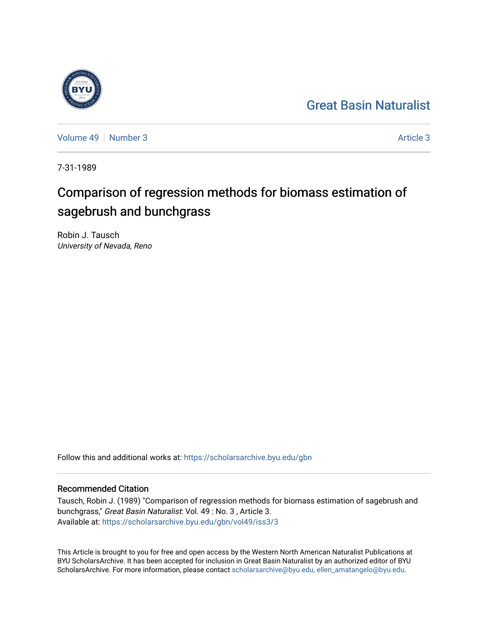## [Great Basin Naturalist](https://scholarsarchive.byu.edu/gbn)



[Volume 49](https://scholarsarchive.byu.edu/gbn/vol49) [Number 3](https://scholarsarchive.byu.edu/gbn/vol49/iss3) [Article 3](https://scholarsarchive.byu.edu/gbn/vol49/iss3/3) Article 3

7-31-1989

# Comparison of regression methods for biomass estimation of sagebrush and bunchgrass

Robin J. Tausch University of Nevada, Reno

Follow this and additional works at: [https://scholarsarchive.byu.edu/gbn](https://scholarsarchive.byu.edu/gbn?utm_source=scholarsarchive.byu.edu%2Fgbn%2Fvol49%2Fiss3%2F3&utm_medium=PDF&utm_campaign=PDFCoverPages) 

### Recommended Citation

Tausch, Robin J. (1989) "Comparison of regression methods for biomass estimation of sagebrush and bunchgrass," Great Basin Naturalist: Vol. 49 : No. 3 , Article 3. Available at: [https://scholarsarchive.byu.edu/gbn/vol49/iss3/3](https://scholarsarchive.byu.edu/gbn/vol49/iss3/3?utm_source=scholarsarchive.byu.edu%2Fgbn%2Fvol49%2Fiss3%2F3&utm_medium=PDF&utm_campaign=PDFCoverPages)

This Article is brought to you for free and open access by the Western North American Naturalist Publications at BYU ScholarsArchive. It has been accepted for inclusion in Great Basin Naturalist by an authorized editor of BYU ScholarsArchive. For more information, please contact [scholarsarchive@byu.edu, ellen\\_amatangelo@byu.edu.](mailto:scholarsarchive@byu.edu,%20ellen_amatangelo@byu.edu)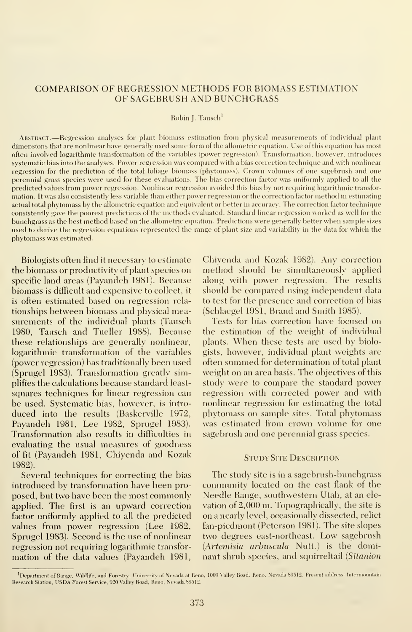#### COMPARISON OF REGRESSION METHODS FOR RIOMASS ESTIMATION OF SAGERRUSH AND RUNCHGRASS

#### Robin J. Tausch

Abstract. —Regression analyses for plant biomass estimation from physical measurements of individual plant dimensions that are nonlinear have generally used some form of the allometric equation. Use of this equation has most often involved logarithmic transformation of the variables (power regression). Transformation, however, introduces systematic bias into the analyses. Power regression was compared with a bias correction technique and with nonlinear regression for the prediction of the total foliage biomass (phytomass). Crown volumes of one sagebrush and one perennial grass species were used for these evaluations. The bias correction factor was uniformly applied to all the predicted values from power regression. Nonlinear regression avoided this bias by not requiring logarithmic transfor mation. It was also consistently less variable than either power regression or the correction factor method in estimating actual total phytomass by the allometric equation and equivalent or better in accuracy. The correction factor technique consistently gave the poorest predictions of the methods evaluated. Standard linear regression worked as well for the bunchgrass as the best method based on the allometric equation. Predictions were generally better when sample sizes used to derive the regression equations represented the range of plant size and variability in the data for which the phytomass was estimated.

Biologists often find it necessary to estimate the biomass or productivity of plant species on specific land areas (Payandeh 1981). Because biomass isdifficult and expensive to collect, it is often estimated based on regression rela tionships between biomass and physical measurements of the individual plants (Tausch 1980, Tausch and Tueller 1988). Because these relationships are generally nonlinear, logarithmic transformation of the variables (power regression) has traditionally been used (Sprugel 1983). Transformation greatly simplifies the calculations because standard least squares techniques for linear regression can be used. Systematic bias, however, is intro duced into the results (Baskerville 1972, Payandeh 1981, Lee 1982, Sprugel 1983). Transformation also results in difficulties in evaluating the usual measures of goodness of fit (Payandeh 1981, Chivenda and Kozak 1982).

Several techniques for correcting the bias introduced by transformation have been pro posed, but two have been the most commonly applied. The first is an upward correction factor uniformly applied to all the predicted values from power regression (Lee 1982, Sprugel 1983). Second is the use of nonlinear regression not requiring logarithmic transfor mation of the data values (Payandeh 1981,

Chivenda and Kozak 1982). Any correction method should be simultaneously applied along with power regression. The results should be compared using independent data to test for the presence and correction of bias (Schlaegel 1981, Brand and Smith 1985).

Tests for bias correction have focused on the estimation of the weight of individual plants. When these tests are used by biologists, however, individual plant weights are often summed for determination of total plant weight on an area basis. The objectives of this study were to compare the standard power regression with corrected power and with nonlinear regression for estimating the total phytomass on sample sites. Total phytomass was estimated from crown volume for one sagebrush and one perennial grass species.

#### STUDY SITE DESCRIPTION

The study site is in a sagebrush-bunchgrass community located on the east flank of the Needle Range, southwestern Utah, at an ele vation of 2,000 m. Topographically, the site is on a nearly level, occasionally dissected, relict fan-piedmont (Peterson 1981). The site slopes two degrees east-northeast. Low sagebrush (Artemisia arbuscula Nutt.) is the dominant shrub species, and squirreltail (Sitanion

<sup>&#</sup>x27;Department of Range, Wildlife, and Forestry, University of Nevada at Reno, 1000 Valley Road, Reno, Nevada 89512. Present address: Intermountain Research Station, USDA Forest Service, 920 Valley Road, Reno, Nevada 89512.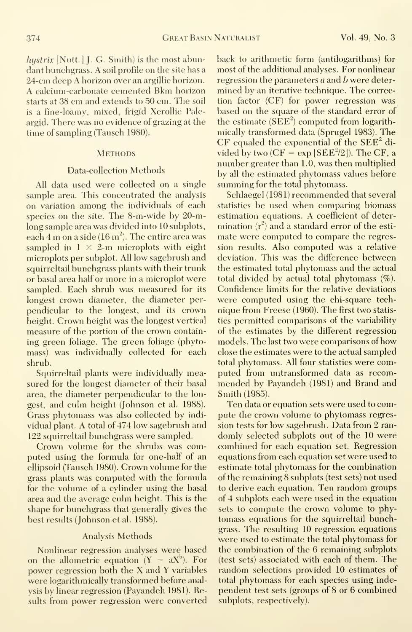hystrix  $[**Nutt.**]$  J. G. Smith) is the most abundant bunchgrass. A soil profile on the site has <sup>a</sup> 24-cm deep A horizon over an argillie horizon. A calcium-carbonate cemented Bkm horizon starts at 38 cm and extends to 50 cm. The soil is a fine-loamy, mixed, frigid Xerollic Paleargid. There was no evidence of grazing at the time of sampling (Tausch 1980).

#### **METHODS**

#### Data-collection Methods

All data used were collected on a single sample area. This concentrated the analysis on variation among the individuals of each species on the site. The 8-m-wide by 20-mlong sample area was divided into 10 subplots, each 4 m on a side (16 m $^2$ ). The entire area was  $^{\circ}$  ma sampled in  $1 \times 2$ -m microplots with eight microplots per subplot. All low sagebrush and squirreltail bunchgrass plants with their trunk or basal area half or more in a microplot were sampled. Each shrub was measured for its longest crown diameter, the diameter per pendicular to the longest, and its crown height. Crown height was the longest vertical measure of the portion of the crown containing green foliage. The green foliage (phyto mass) was individually collected for each shrub.

Squirreltail plants were individually measured for the longest diameter of their basal area, the diameter perpendicular to the longest, and culm height (Johnson et al. 1988). Grass phytomass was also collected by indi vidual plant. A total of 474 low sagebrush and 122 squirreltail bunchgrass were sampled.

Crown volume for the shrubs was computed using the formula for one-half of an ellipsoid (Tausch 1980). Crown volume for the grass plants was computed with the formula for the volume of a cylinder using the basal area and the average culm height. This is the shape for bunchgrass that generally gives the best results (Johnson et al. 1988).

#### Analysis Methods

Nonlinear regression analyses were based on the allometric equation  $(Y = aX^b)$ . For power regression both the X and Y variables were logarithmically transformed before analysis by linear regression (Payandeh 1981). Results from power regression were converted back to arithmetic form (antilogarithms) for most of the additional analyses. For nonlinear regression the parameters a and b were determined by an iterative technique. The correction factor (CF) for power regression was based on the square of the standard error of the estimate  $(SEE^2)$  computed from logarithmically transformed data (Sprugel 1983). The CF equaled the exponential of the  $SEE<sup>2</sup>$  divided by two  $(CF = exp [SEE^2/2])$ . The CF, a number greater than 1.0, was then multiplied by all the estimated phytomass values before summing for the total phytomass.

Schlaegel (1981) recommended that several statistics be used when comparing biomass estimation equations. A coefficient of deter mination  $({\rm r^z})$  and a standard error of the esti-  $$ mate were computed to compare the regression results. Also computed was a relative deviation. This was the difference between the estimated total phytomass and the actual total divided by actual total phytomass (%). Confidence limits for the relative deviations were computed using the chi-square tech nique from Freese (1960). The first two statistics permitted comparisons of the variability of the estimates by the different regression models. The last two were comparisons of how close the estimates were to the actual sampled total phytomass. All four statistics were computed from untransformed data as recom mended bv Pavandeh (1981) and Brand and Smith (1985).

Ten data or equation sets were used to compute the crown volume to phytomass regression tests for low sagebrush. Data from 2 ran domly selected subplots out of the 10 were combined for each equation set. Regression equations from each equation set were used to estimate total phytomass for the combination of the remaining 8 subplots (test sets) not used to derive each equation. Ten random groups of 4 subplots each were used in the equation sets to compute the crown volume to phytomass equations for the squirreltail bunchgrass. The resulting 10 regression equations were used to estimate the total phytomass for the combination of the 6 remaining subplots (test sets) associated with each of them. The random selections provided 10 estimates of total phytomass for each species using independent test sets (groups of 8 or 6 combined subplots, respectively).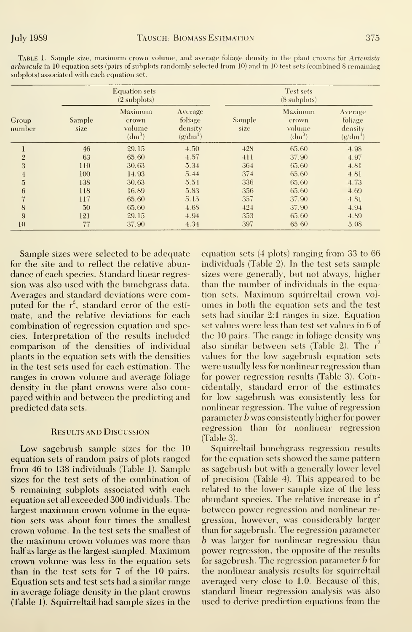Table 1. Sample size, maximum crown volume, and average foliage density in the plant crowns for Artemisia arbuscula in 10 equation sets (pairs of subplots randomly selected from 10) and in 10 test sets (combined 8 remaining subplots) associated with each equation set.

|                 |                | <b>Equation sets</b><br>$(2$ subplots) |                                             |                | Test sets<br>$(8 \text{ subplots})$                  |                                             |
|-----------------|----------------|----------------------------------------|---------------------------------------------|----------------|------------------------------------------------------|---------------------------------------------|
| Group<br>number | Sample<br>size | Maximum<br>crown<br>volume<br>$dm^3$   | Average<br>foliage<br>density<br>$(g/dm^3)$ | Sample<br>size | Maximum<br>crown<br>volume<br>$\langle dm^3 \rangle$ | Average<br>foliage<br>density<br>$(g/dm^3)$ |
| $\mathbf{I}$    | 46             | 29.15                                  | 4.50                                        | 428            | 65.60                                                | 4.98                                        |
| $\sqrt{2}$      | 63             | 65.60                                  | 4.57                                        | 411            | 37.90                                                | 4.97                                        |
| 3               | 110            | 30.63                                  | 5.34                                        | 364            | 65.60                                                | 4.81                                        |
| $\overline{4}$  | 100            | 14.93                                  | 5.44                                        | 374            | 65.60                                                | 4.81                                        |
| $\overline{5}$  | 138            | 30.63                                  | 5.54                                        | 336            | 65.60                                                | 4.73                                        |
| 6               | 118            | 16.89                                  | 5.83                                        | 356            | 65.60                                                | 4.69                                        |
| 7               | 117            | 65.60                                  | 5.15                                        | 357            | 37.90                                                | 4.81                                        |
| 8               | 50             | 65.60                                  | 4.68                                        | 424            | 37.90                                                | 4.94                                        |
| 9               | 121            | 29.15                                  | 4.94                                        | 353            | 65.60                                                | 4.89                                        |
| 10              | 77             | 37.90                                  | 4.34                                        | 397            | 65.60                                                | 5.08                                        |

Sample sizes were selected to be adequate for the site and to reflect the relative abundance of each species. Standard linear regression was also used with the bunchgrass data. Averages and standard deviations were computed for the  $r^2$ , standard error of the estimate, and the relative deviations for each combination of regression equation and species. Interpretation of the results included comparison of the densities of individual plants in the equation sets with the densities in the test sets used for each estimation. The ranges in crown volume and average foliage density in the plant crowns were also compared within and between the predicting and predicted data sets.

#### **RESULTS AND DISCUSSION**

Low sagebrush sample sizes for the 10 equation sets of random pairs of plots ranged from 46 to 138 individuals (Table 1). Sample sizes for the test sets of the combination of 8 remaining subplots associated with each equation set all exceeded 300 individuals. The largest maximum erown volume in the equation sets was about four times the smallest crown volume. In the test sets the smallest of the maximum crown volumes was more than half as large as the largest sampled. Maximum crown volume was less in the equation sets than in the test sets for 7 of the 10 pairs. Equation sets and test sets had a similar range in average foliage density in the plant crowns (Table 1). Squirreltail had sample sizes in the

equation sets (4 plots) ranging from 33 to 66 individuals (Table 2). In the test sets sample sizes were generally, but not always, higher than the number of individuals in the equation sets. Maximum squirreltail crown volumes in both the equation sets and the test sets had similar 2:1 ranges in size. Equation set values were less than test set values in 6 of the 10 pairs. The range in foliage density was also similar between sets (Table 2). The r<sup>2</sup> values for the low sagebrush equation sets were usually less for nonlinear regression than for power regression results (Table 3). Coineidentally, standard error of the estimates for low sagebrush was consistently less for nonlinear regression. The value of regression parameter  $b$  was consistently higher for power regression than for nonlinear regression  $(Table 3).$ 

Squirreltail bunchgrass regression results for the equation sets showed the same pattern as sagebrush but with a generally lower level of precision (Table 4). This appeared to be related to the lower sample size of the less abundant species. The relative increase in  $\mathrm{r}^z$ between power regression and nonlinear regression, however, was considerably larger than for sagebrush. The regression parameter  $b$  was larger for nonlinear regression than power regression, the opposite of the results for sagebrush. The regression parameter  $b$  for the nonlinear analysis results for squirreltail averaged very close to 1.0. Because of this, standard linear regression analysis was also used to derive prediction equations from the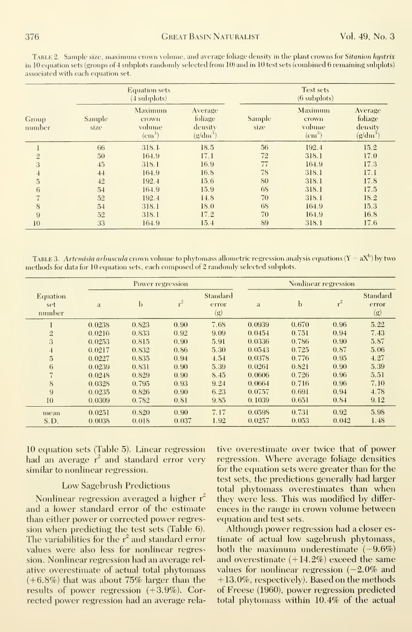TABLE 2. Sample size, maximum crown volume, and average foliage density in the plant crowns for Sitanion hystrix in 10 equation sets (groups of 4 subplots randomly selected from 10) and in 10 test sets (combined 6 remaining subplots) associated with each equation set.

|                 |                | <b>Equation sets</b><br>$(4$ subplots)     |                                             |                | Test sets<br>$(6$ subplots)                              |                                             |
|-----------------|----------------|--------------------------------------------|---------------------------------------------|----------------|----------------------------------------------------------|---------------------------------------------|
| Group<br>number | Sample<br>size | Maximum<br>crown<br>volume<br>$\rm (cm^3)$ | Average<br>foliage<br>density<br>$(g/dm^3)$ | Sample<br>size | Maximum<br>crown<br>volume<br>$\rm \left( cm^{3}\right)$ | Average<br>foliage<br>density<br>$(g/dm^3)$ |
|                 | 66             | 318.1                                      | 18.5                                        | 56             | 192.4                                                    | 15.2                                        |
| $\mathbf{2}$    | 50             | 164.9                                      | 17.1                                        | 72             | 318.1                                                    | 17.0                                        |
| 3               | 45             | 318.1                                      | 16.9                                        | 77             | 164.9                                                    | 17.3                                        |
| $\overline{4}$  | 44             | 164.9                                      | 16.8                                        | 78             | 318.1                                                    | 17.1                                        |
| $\overline{5}$  | 42             | 192.4                                      | 15.6                                        | 80             | 318.1                                                    | 17.8                                        |
| 6               | 54             | 164.9                                      | 15.9                                        | 68             | 318.1                                                    | 17.5                                        |
| $\overline{7}$  | 52             | 192.4                                      | 14.8                                        | 70             | 318.1                                                    | 18.2                                        |
| 8               | 54             | 318.1                                      | 18.0                                        | 68             | 164.9                                                    | 15.3                                        |
| 9               | 52             | 318.1                                      | 17.2                                        | 70             | 164.9                                                    | 16.8                                        |
| 10              | 33             | 164.9                                      | 15.4                                        | 89             | 318.1                                                    | 17.6                                        |

TABLE 3. Artemisia arbuscula crown volume to phytomass allometric regression analysis equations  $(Y = aX^b)$  by two methods for data for 10 equation sets, each composed of 2 randomly selected subplots.

|                           |        | Power regression |       |                          |              |       | Nonlinear regression |                          |
|---------------------------|--------|------------------|-------|--------------------------|--------------|-------|----------------------|--------------------------|
| Equation<br>set<br>number | a      | b                | $r^2$ | Standard<br>error<br>(g) | $\mathbf{a}$ | b     | $r^2$                | Standard<br>error<br>(g) |
|                           | 0.0238 | 0.823            | 0.90  | 7.68                     | 0.0939       | 0.670 | 0.96                 | 5.22                     |
| $\overline{2}$            | 0.0216 | 0.833            | 0.92  | 9.09                     | 0.0454       | 0.751 | 0.94                 | 7.43                     |
| 3                         | 0.0253 | 0.815            | 0.90  | 5.91                     | 0.0336       | 0.786 | 0.90                 | 5.87                     |
| $\overline{4}$            | 0.0217 | 0.832            | 0.86  | 5.30                     | 0.0543       | 0.725 | 0.87                 | 5.06                     |
| 5                         | 0.0227 | 0.835            | 0.94  | 4.54                     | 0.0378       | 0.776 | 0.95                 | 4.27                     |
| 6                         | 0.0239 | 0.831            | 0.90  | 5.39                     | 0.0261       | 0.821 | 0.90                 | 5.39                     |
| 7                         | 0.0248 | 0.829            | 0.90  | 8.45                     | 0.0606       | 0.726 | 0.96                 | 5.51                     |
| 8                         | 0.0328 | 0.795            | 0.93  | 9.24                     | 0.0664       | 0.716 | 0.96                 | 7.10                     |
| 9                         | 0.0235 | 0.826            | 0.90  | 6.23                     | 0.0757       | 0.691 | 0.94                 | 4.78                     |
| 10                        | 0.0309 | 0.782            | 0.81  | 9.85                     | 0.1039       | 0.651 | 0.84                 | 9.12                     |
| mean                      | 0.0251 | 0.820            | 0.90  | 7.17                     | 0.0598       | 0.731 | 0.92                 | 5.98                     |
| S.D.                      | 0.0038 | 0.018            | 0.037 | 1.92                     | 0.0257       | 0.053 | 0.042                | 1.48                     |

10 equation sets (Table 5). Linear regression had an average r<sup>2</sup> and standard error very similar to nonlinear regression.

#### **Low Sagebrush Predictions**

Nonlinear regression averaged a higher r<sup>2</sup> and a lower standard error of the estimate than either power or corrected power regression when predicting the test sets (Table 6). The variabilities for the  $r^2$  and standard error values were also less for nonlinear regression. Nonlinear regression had an average relative overestimate of actual total phytomass  $(+6.8\%)$  that was about 75% larger than the results of power regression  $(+3.9\%)$ . Corrected power regression had an average relative overestimate over twice that of power regression. Where average foliage densities for the equation sets were greater than for the test sets, the predictions generally had larger total phytomass overestimates than when they were less. This was modified by differences in the range in crown volume between equation and test sets.

Although power regression had a closer estimate of actual low sagebrush phytomass, both the maximum underestimate  $(-9.6\%)$ and overestimate  $(+14.2\%)$  exceed the same values for nonlinear regression  $(-2.0\%$  and  $+13.0\%$ , respectively). Based on the methods of Freese (1960), power regression predicted total phytomass within 10.4% of the actual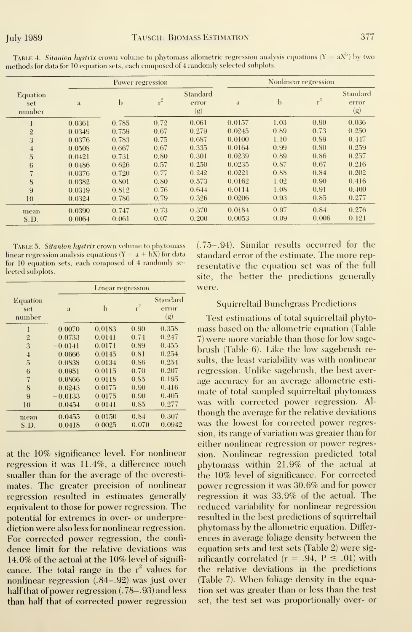|                           |        | Power regression |       |                          |        |             | Nonlinear regression |                          |
|---------------------------|--------|------------------|-------|--------------------------|--------|-------------|----------------------|--------------------------|
| Equation<br>set<br>number | a      | b                | $r^2$ | Standard<br>error<br>(g) | a      | $\mathbf b$ | $r^2$                | Standard<br>error<br>(g) |
|                           | 0.0361 | 0.785            | 0.72  | 0.061                    | 0.0157 | 1.03        | 0.90                 | 0.036                    |
| $\mathbf{2}$              | 0.0349 | 0.759            | 0.67  | 0.279                    | 0.0245 | 0.89        | 0.73                 | 0.250                    |
| 3                         | 0.0376 | 0.783            | 0.75  | 0.687                    | 0.0100 | 1.10        | 0.89                 | 0.447                    |
| $\overline{4}$            | 0.0508 | 0.667            | 0.67  | 0.335                    | 0.0164 | 0.99        | 0.80                 | 0.259                    |
| $\overline{5}$            | 0.0421 | 0.731            | 0.80  | 0.301                    | 0.0239 | 0.89        | 0.86                 | 0.257                    |
| 6                         | 0.0486 | 0.626            | 0.57  | 0.250                    | 0.0235 | 0.87        | 0.67                 | 0.216                    |
| $\overline{7}$            | 0.0376 | 0.720            | 0.77  | 0.242                    | 0.0221 | 0.88        | 0.84                 | 0.202                    |
| 8                         | 0.0382 | 0.801            | 0.80  | 0.573                    | 0.0162 | 1.02        | 0.90                 | 0.416                    |
| 9                         | 0.0319 | 0.812            | 0.76  | 0.644                    | 0.0114 | 1.08        | 0.91                 | 0.400                    |
| 10                        | 0.0324 | 0.786            | 0.79  | 0.326                    | 0.0206 | 0.93        | 0.85                 | 0.277                    |
| mean                      | 0.0390 | 0.747            | 0.73  | 0.370                    | 0.0184 | 0.97        | 0.84                 | 0.276                    |
| S.D.                      | 0.0064 | 0.061            | 0.07  | 0.200                    | 0.0053 | 0.09        | 0.006                | 0.121                    |

TABLE 4. Sitanion hystrix crown volume to phytomass allometric regression analysis equations  $(Y = aX^b)$  by two methods for data for 10 equation sets, each composed of 4 randomly selected subplots.

TABLE 5. Sitanion hystrix crown volume to phytomass linear regression analysis equations  $(Y = a + bX)$  for data for 10 equation sets, each composed of 4 randomly selected subplots.

|                           |           | Linear regression |       |                          |
|---------------------------|-----------|-------------------|-------|--------------------------|
| Equation<br>set<br>number | a         | b                 | $r^2$ | Standard<br>error<br>(g) |
| l                         | 0.0070    | 0.0183            | 0.90  | 0.358                    |
| $\overline{2}$            | 0.0733    | 0.0141            | 0.74  | 0.247                    |
| 3                         | $-0.0141$ | 0.0171            | 0.89  | 0.455                    |
| $\overline{4}$            | 0.0666    | 0.0145            | 0.81  | 0.254                    |
| 5                         | 0.0838    | 0.0134            | 0.86  | 0.254                    |
| 6                         | 0.0951    | 0.0115            | 0.70  | 0.207                    |
| 7                         | 0.0866    | 0.0118            | 0.85  | 0.195                    |
| 8                         | 0.0243    | 0.0175            | 0.90  | 0.416                    |
| 9                         | $-0.0133$ | 0.0175            | 0.90  | 0.405                    |
| 10                        | 0.0454    | 0.0141            | 0.85  | 0.277                    |
| mean                      | 0.0455    | 0.0150            | 0.84  | 0.307                    |
| S.D.                      | 0.0418    | 0.0025            | 0.070 | 0.0942                   |

at the 10% significance level. For nonlinear regression it was 11.4%, a difference much smaller than for the average of the overestimates. The greater precision of nonlinear regression resulted in estimates generally equivalent to those for power regression. The potential for extremes in over- or underprediction were also less for nonlinear regression. For corrected power regression, the confidence limit for the relative deviations was 14.0% of the actual at the 10% level of significance. The total range in the  $r^2$  values for nonlinear regression (.84–.92) was just over half that of power regression (.78–.93) and less than half that of corrected power regression

(.75-.94). Similar results occurred for the standard error of the estimate. The more representative the equation set was of the full site, the better the predictions generally were.

#### **Squirreltail Bunchgrass Predictions**

Test estimations of total squirreltail phytomass based on the allometric equation (Table 7) were more variable than those for low sagebrush (Table 6). Like the low sagebrush results, the least variability was with nonlinear regression. Unlike sagebrush, the best average accuracy for an average allometric estimate of total sampled squirreltail phytomass was with corrected power regression. Although the average for the relative deviations was the lowest for corrected power regression, its range of variation was greater than for either nonlinear regression or power regression. Nonlinear regression predicted total phytomass within 21.9% of the actual at the 10% level of significance. For corrected power regression it was 30.6% and for power regression it was 33.9% of the actual. The reduced variability for nonlinear regression resulted in the best predictions of squirreltail phytomass by the allometric equation. Differences in average foliage density between the equation sets and test sets (Table 2) were significantly correlated ( $r = .94$ ,  $P \le .01$ ) with the relative deviations in the predictions (Table 7). When foliage density in the equation set was greater than or less than the test set, the test set was proportionally over- or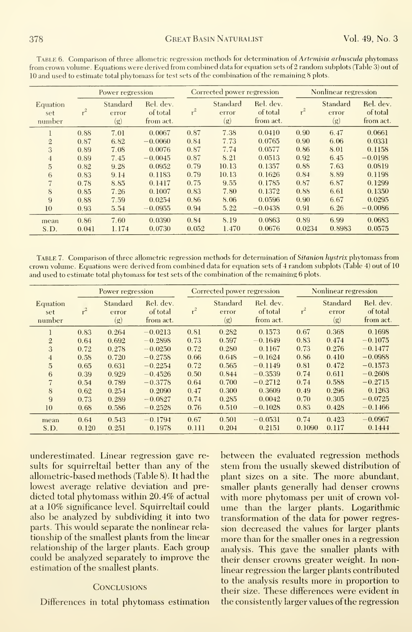|                           |               | Power regression         |                                    |               | Corrected power regression |                                    |                | Nonlinear regression     |                                    |
|---------------------------|---------------|--------------------------|------------------------------------|---------------|----------------------------|------------------------------------|----------------|--------------------------|------------------------------------|
| Equation<br>set<br>number | $r^2$         | Standard<br>error<br>(g) | Rel. dev.<br>of total<br>from act. | $r^2$         | Standard<br>error<br>(g)   | Rel. dev.<br>of total<br>from act. | $r^2$          | Standard<br>error<br>(g) | Rel. dev.<br>of total<br>from act. |
|                           | 0.88          | 7.01                     | 0.0067                             | 0.87          | 7.38                       | 0.0410                             | 0.90           | 6.47                     | 0.0661                             |
| $\overline{2}$            | 0.87          | 6.82                     | $-0.0060$                          | 0.84          | 7.73                       | 0.0765                             | 0.90           | 6.06                     | 0.0331                             |
| 3                         | 0.89          | 7.08                     | 0.0076                             | 0.87          | 7.74                       | 0.0577                             | 0.86           | 8.01                     | 0.1158                             |
| $\overline{4}$            | 0.89          | 7.45                     | $-0.0045$                          | 0.87          | 8.21                       | 0.0513                             | 0.92           | 6.45                     | $-0.0198$                          |
| 5                         | 0.82          | 9.28                     | 0.0952                             | 0.79          | 10.13                      | 0.1357                             | 0.88           | 7.63                     | 0.0819                             |
| 6                         | 0.83          | 9.14                     | 0.1183                             | 0.79          | 10.13                      | 0.1626                             | 0.84           | 8.89                     | 0.1198                             |
| 7                         | 0.78          | 8.85                     | 0.1417                             | 0.75          | 9.55                       | 0.1785                             | 0.87           | 6.87                     | 0.1299                             |
| 8                         | 0.85          | 7.26                     | 0.1007                             | 0.83          | 7.80                       | 0.1372                             | 0.88           | 6.61                     | 0.1350                             |
| 9                         | 0.88          | 7.59                     | 0.0254                             | 0.86          | 8.06                       | 0.0596                             | 0.90           | 6.67                     | 0.0295                             |
| 10                        | 0.93          | 5.54                     | $-0.0955$                          | 0.94          | 5.22                       | $-0.0438$                          | 0.91           | 6.26                     | $-0.0086$                          |
| mean<br>S.D.              | 0.86<br>0.041 | 7.60<br>1.174            | 0.0390<br>0.0730                   | 0.84<br>0.052 | 8.19<br>1.470              | 0.0863<br>0.0676                   | 0.89<br>0.0234 | 6.99<br>0.8983           | 0.0683<br>0.0575                   |

TABLE 6. Comparison of three allometric regression methods for determination of Artemisia arbuscula phytomass from crown volume. Equations were derived from combined data for equation sets of 2 random subplots (Table 3) out of 10 and used to estimate total phytomass for test sets of the combination of the remaining 8 plots.

TABLE 7. Comparison of three allometric regression methods for determination of Sitanion hystrix phytomass from crown volume. Equations were derived from combined data for equation sets of 4 random subplots (Table 4) out of 10 and used to estimate total phytomass for test sets of the combination of the remaining 6 plots.

|                                  |               | Power regression         |                                    |               | Corrected power regression |                                    |                | Nonlinear regression     |                                    |
|----------------------------------|---------------|--------------------------|------------------------------------|---------------|----------------------------|------------------------------------|----------------|--------------------------|------------------------------------|
| <b>Equation</b><br>set<br>number |               | Standard<br>error<br>(g) | Rel. dev.<br>of total<br>from act. | $r^2$         | Standard<br>error<br>(g)   | Rel. dev.<br>of total<br>from act. | $r^2$          | Standard<br>error<br>(g) | Rel. dev.<br>of total<br>from act. |
|                                  | 0.83          | 0.264                    | $-0.0213$                          | 0.81          | 0.282                      | 0.1573                             | 0.67           | 0.368                    | 0.1698                             |
| $\overline{2}$                   | 0.64          | 0.692                    | $-0.2898$                          | 0.73          | 0.597                      | $-0.1649$                          | 0.83           | 0.474                    | $-0.1075$                          |
| 3                                | 0.72          | 0.278                    | $-0.0250$                          | 0.72          | 0.280                      | 0.1167                             | 0.73           | 0.276                    | $-0.1477$                          |
| $\overline{4}$                   | 0.58          | 0.720                    | $-0.2758$                          | 0.66          | 0.648                      | $-0.1624$                          | 0.86           | 0.410                    | $-0.0988$                          |
| 5                                | 0.65          | 0.631                    | $-0.2254$                          | 0.72          | 0.565                      | $-0.1149$                          | 0.81           | 0.472                    | $-0.1573$                          |
| 6                                | 0.39          | 0.929                    | $-0.4526$                          | 0.50          | 0.844                      | $-0.3539$                          | 0.74           | 0.611                    | $-0.2608$                          |
| $\overline{7}$                   | 0.54          | 0.789                    | $-0.3778$                          | 0.64          | 0.700                      | $-0.2712$                          | 0.74           | 0.588                    | $-0.2715$                          |
| 8                                | 0.62          | 0.254                    | 0.2090                             | 0.47          | 0.300                      | 0.3609                             | 0.49           | 0.296                    | 0.1263                             |
| 9                                | 0.73          | 0.289                    | $-0.0827$                          | 0.74          | 0.285                      | 0.0042                             | 0.70           | 0.305                    | $-0.0725$                          |
| 10                               | 0.68          | 0.586                    | $-0.2528$                          | 0.76          | 0.510                      | $-0.1028$                          | 0.83           | 0.428                    | $-0.1466$                          |
| mean<br>S.D.                     | 0.64<br>0.120 | 0.543<br>0.251           | $-0.1794$<br>0.1978                | 0.67<br>0.111 | 0.501<br>0.204             | $-0.0531$<br>0.2151                | 0.74<br>0.1090 | 0.423<br>0.117           | $-0.0967$<br>0.1444                |

underestimated. Linear regression gave results for squirreltail better than any of the allometric-based methods (Table 8). It had the lowest average relative deviation and predicted total phytomass within 20.4% of actual at a 10% significance level. Squirreltail could also be analyzed by subdividing it into two parts. This would separate the nonlinear relationship of the smallest plants from the linear relationship of the larger plants. Each group could be analyzed separately to improve the estimation of the smallest plants.

#### **CONCLUSIONS**

Differences in total phytomass estimation

between the evaluated regression methods stem from the usually skewed distribution of plant sizes on a site. The more abundant, smaller plants generally had denser crowns with more phytomass per unit of crown volume than the larger plants. Logarithmic transformation of the data for power regression decreased the values for larger plants more than for the smaller ones in a regression analysis. This gave the smaller plants with their denser crowns greater weight. In nonlinear regression the larger plants contributed to the analysis results more in proportion to their size. These differences were evident in the consistently larger values of the regression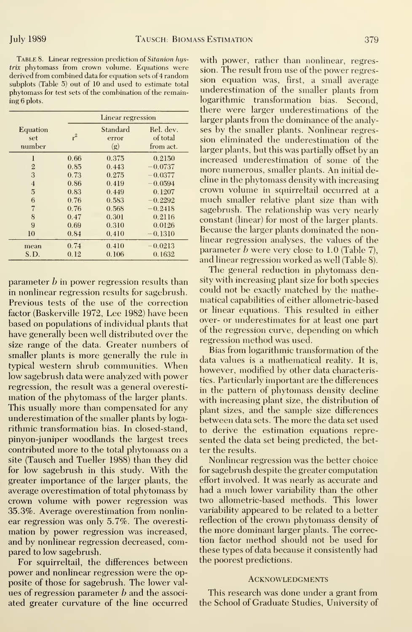TABLE 8. Linear regression prediction of Sitanion hystrix phytomass from crown volume. Equations were sion. The result from use of the power regresderived from combined data for equation sets of 4 random<br>subplots (Table 5) out of 10 and used to estimate table sign equation was, first, a small average subplots (Table 5) out of 10 and used to estimate total<br>phytomass for test sets of the combination of the remain-<br>underestimation of the smaller plants from phytomass for test sets of the combination of the remaining 6 plots.

|                           | Linear regression |                          |                                    |  |  |  |  |
|---------------------------|-------------------|--------------------------|------------------------------------|--|--|--|--|
| Equation<br>set<br>number | $r^2$             | Standard<br>error<br>(g) | Rel. dev.<br>of total<br>from act. |  |  |  |  |
| 1                         | 0.66              | 0.375                    | 0.2150                             |  |  |  |  |
| $\overline{2}$            | 0.85              | 0.443                    | $-0.0737$                          |  |  |  |  |
| 3                         | 0.73              | 0.275                    | $-0.0377$                          |  |  |  |  |
| $\overline{4}$            | 0.86              | 0.419                    | $-0.0594$                          |  |  |  |  |
| 5                         | 0.83              | 0.449                    | 0.1207                             |  |  |  |  |
| 6                         | 0.76              | 0.583                    | $-0.2292$                          |  |  |  |  |
| $\overline{7}$            | 0.76              | 0.568                    | $-0.2418$                          |  |  |  |  |
| 8                         | 0.47              | 0.301                    | 0.2116                             |  |  |  |  |
| 9                         | 0.69              | 0.310                    | 0.0126                             |  |  |  |  |
| 10                        | 0.84              | 0.410                    | $-0.1310$                          |  |  |  |  |
| mean                      | 0.74              | 0.410                    | $-0.0213$                          |  |  |  |  |
| S.D.                      | 0.12              | 0.106                    | 0.1632                             |  |  |  |  |

parameter  $b$  in power regression results than in nonlinear regression results for sagebrush. Previous tests of the use of the correction factor (Baskerville 1972, Lee 1982) have been based on populations of individual plants that have generally been well distributed over the size range of the data. Greater numbers of smaller plants is more generally the rule in typical western shrub communities. When low sagebrush data were analyzed with power regression, the result was a general overestimation of the phytomass of the larger plants. This usually more than compensated for any underestimation of the smaller plants by logarithmic transformation bias. In closed-stand, pinyon-juniper woodlands the largest trees contributed more to the total phytomass on a site (Tausch and Tueller 1988) than they did for low sagebrush in this study. With the greater importance of the larger plants, the average overestimation of total phytomass by crown volume with power regression was 35.3%. Average overestimation from nonlinear regression was only 5.7%. The overestimation by power regression was increased, and by nonlinear regression decreased, compared to low sagebrush.

For squirreltail, the differences between power and nonlinear regression were the opposite of those for sagebrush. The lower values of regression parameter  $b$  and the associated greater curvature of the line occurred with power, rather than nonlinear, regreslogarithmic transformation bias. Second, there were larger underestimations of the larger plants from the dominance of the analyses by the smaller plants. Nonlinear regression eliminated the underestimation of the larger plants, but this was partially offset by an increased underestimation of some of the more numerous, smaller plants. An initial decline in the phytomass density with increasing crown volume in squirreltail occurred at a much smaller relative plant size than with sagebrush. The relationship was very nearly constant (linear) for most of the larger plants. Because the larger plants dominated the nonlinear regression analyses, the values of the parameter b were very close to 1.0 (Table 7), and linear regression worked as well (Table 8).

The general reduction in phytomass density with increasing plant size for both species could not be exactly matched by the mathematical capabilities of either allometric-based or linear equations. This resulted in either over- or underestimates for at least one part of the regression curve, depending on which regression method was used.

Bias from logarithmic transformation of the data values is a mathematical reality. It is, however, modified by other data characteristics. Particularly important are the differences in the pattern of phytomass density decline with increasing plant size, the distribution of plant sizes, and the sample size differences between data sets. The more the data set used to derive the estimation equations represented the data set being predicted, the better the results.

Nonlinear regression was the better choice for sagebrush despite the greater computation effort involved. It was nearly as accurate and had a much lower variability than the other two allometric-based methods. This lower variability appeared to be related to a better reflection of the crown phytomass density of the more dominant larger plants. The correction factor method should not be used for these types of data because it consistently had the poorest predictions.

#### **ACKNOWLEDGMENTS**

This research was done under a grant from the School of Graduate Studies, University of